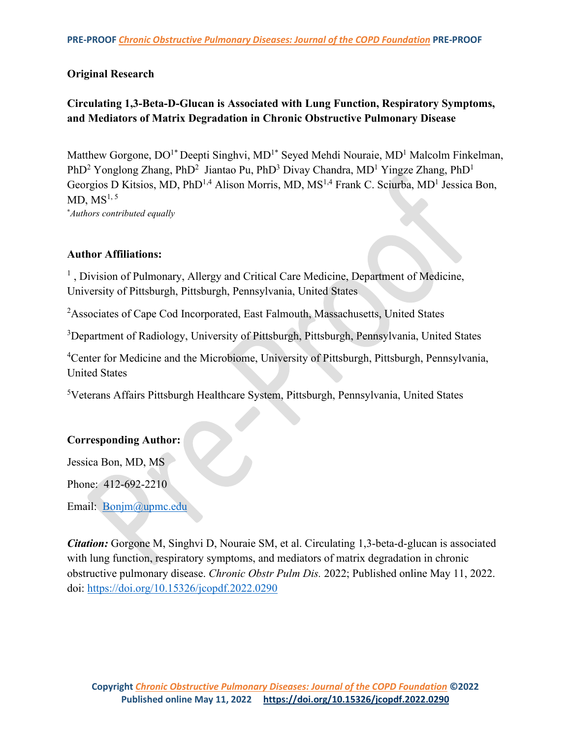# **Original Research**

# **Circulating 1,3-Beta-D-Glucan is Associated with Lung Function, Respiratory Symptoms, and Mediators of Matrix Degradation in Chronic Obstructive Pulmonary Disease**

Matthew Gorgone,  $DO<sup>1*</sup> Deepti Singhvi, MD<sup>1*</sup> Seyed Mehdi Nouraie, MD<sup>1</sup> Malcolm Finkelman,$ PhD<sup>2</sup> Yonglong Zhang, PhD<sup>2</sup> Jiantao Pu, PhD<sup>3</sup> Divay Chandra, MD<sup>1</sup> Yingze Zhang, PhD<sup>1</sup> Georgios D Kitsios, MD, PhD<sup>1,4</sup> Alison Morris, MD, MS<sup>1,4</sup> Frank C. Sciurba, MD<sup>1</sup> Jessica Bon, MD,  $MS<sup>1, 5</sup>$ **\*** *Authors contributed equally*

## **Author Affiliations:**

<sup>1</sup>, Division of Pulmonary, Allergy and Critical Care Medicine, Department of Medicine, University of Pittsburgh, Pittsburgh, Pennsylvania, United States

<sup>2</sup>Associates of Cape Cod Incorporated, East Falmouth, Massachusetts, United States

<sup>3</sup>Department of Radiology, University of Pittsburgh, Pittsburgh, Pennsylvania, United States

<sup>4</sup>Center for Medicine and the Microbiome, University of Pittsburgh, Pittsburgh, Pennsylvania, United States

5 Veterans Affairs Pittsburgh Healthcare System, Pittsburgh, Pennsylvania, United States

## **Corresponding Author:**

Jessica Bon, MD, MS

Phone: 412-692-2210

Email: [Bonjm@upmc.edu](mailto:Bonjm@upmc.edu) 

*Citation:* Gorgone M, Singhvi D, Nouraie SM, et al. Circulating 1,3-beta-d-glucan is associated with lung function, respiratory symptoms, and mediators of matrix degradation in chronic obstructive pulmonary disease. *Chronic Obstr Pulm Dis.* 2022; Published online May 11, 2022. doi:<https://doi.org/10.15326/jcopdf.2022.0290>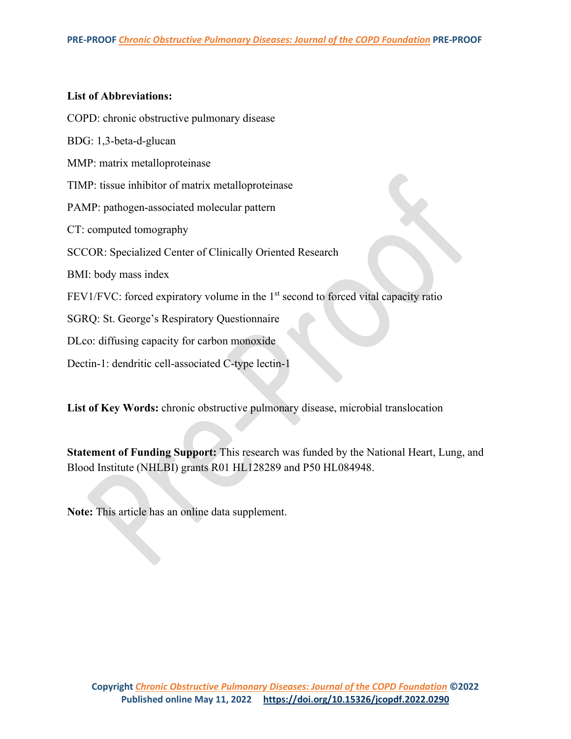### **List of Abbreviations:**

COPD: chronic obstructive pulmonary disease

BDG: 1,3-beta-d-glucan

MMP: matrix metalloproteinase

TIMP: tissue inhibitor of matrix metalloproteinase

PAMP: pathogen-associated molecular pattern

CT: computed tomography

SCCOR: Specialized Center of Clinically Oriented Research

BMI: body mass index

FEV1/FVC: forced expiratory volume in the 1<sup>st</sup> second to forced vital capacity ratio

SGRQ: St. George's Respiratory Questionnaire

DLco: diffusing capacity for carbon monoxide

Dectin-1: dendritic cell-associated C-type lectin-1

**List of Key Words:** chronic obstructive pulmonary disease, microbial translocation

**Statement of Funding Support:** This research was funded by the National Heart, Lung, and Blood Institute (NHLBI) grants R01 HL128289 and P50 HL084948.

**Note:** This article has an online data supplement.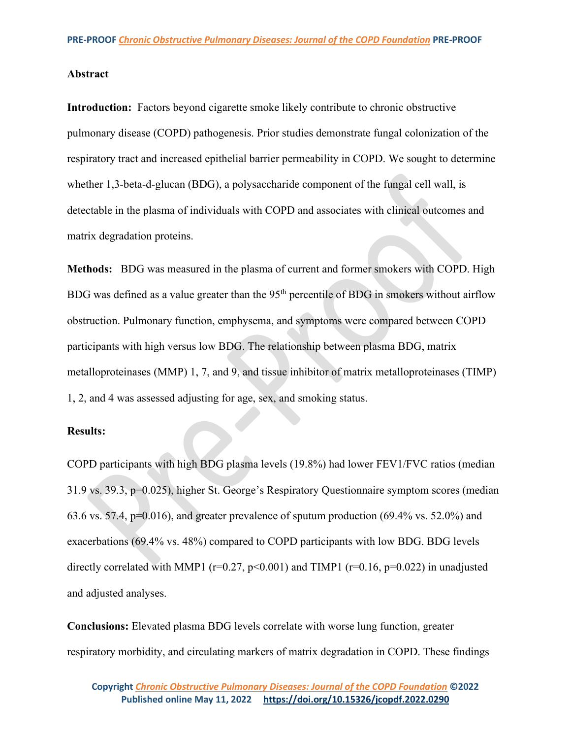### **Abstract**

**Introduction:** Factors beyond cigarette smoke likely contribute to chronic obstructive pulmonary disease (COPD) pathogenesis. Prior studies demonstrate fungal colonization of the respiratory tract and increased epithelial barrier permeability in COPD. We sought to determine whether 1,3-beta-d-glucan (BDG), a polysaccharide component of the fungal cell wall, is detectable in the plasma of individuals with COPD and associates with clinical outcomes and matrix degradation proteins.

**Methods:** BDG was measured in the plasma of current and former smokers with COPD. High BDG was defined as a value greater than the 95<sup>th</sup> percentile of BDG in smokers without airflow obstruction. Pulmonary function, emphysema, and symptoms were compared between COPD participants with high versus low BDG. The relationship between plasma BDG, matrix metalloproteinases (MMP) 1, 7, and 9, and tissue inhibitor of matrix metalloproteinases (TIMP) 1, 2, and 4 was assessed adjusting for age, sex, and smoking status.

## **Results:**

COPD participants with high BDG plasma levels (19.8%) had lower FEV1/FVC ratios (median 31.9 vs. 39.3, p=0.025), higher St. George's Respiratory Questionnaire symptom scores (median 63.6 vs. 57.4,  $p=0.016$ ), and greater prevalence of sputum production (69.4% vs. 52.0%) and exacerbations (69.4% vs. 48%) compared to COPD participants with low BDG. BDG levels directly correlated with MMP1 ( $r=0.27$ ,  $p<0.001$ ) and TIMP1 ( $r=0.16$ ,  $p=0.022$ ) in unadjusted and adjusted analyses.

**Conclusions:** Elevated plasma BDG levels correlate with worse lung function, greater respiratory morbidity, and circulating markers of matrix degradation in COPD. These findings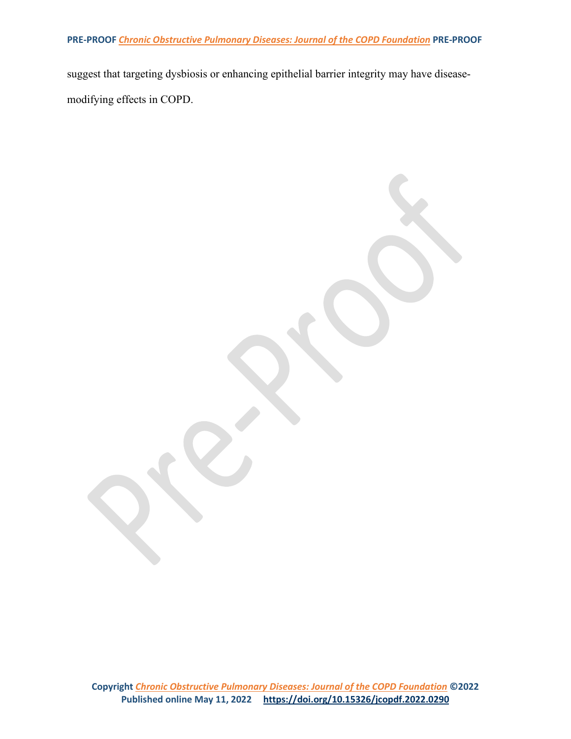suggest that targeting dysbiosis or enhancing epithelial barrier integrity may have diseasemodifying effects in COPD.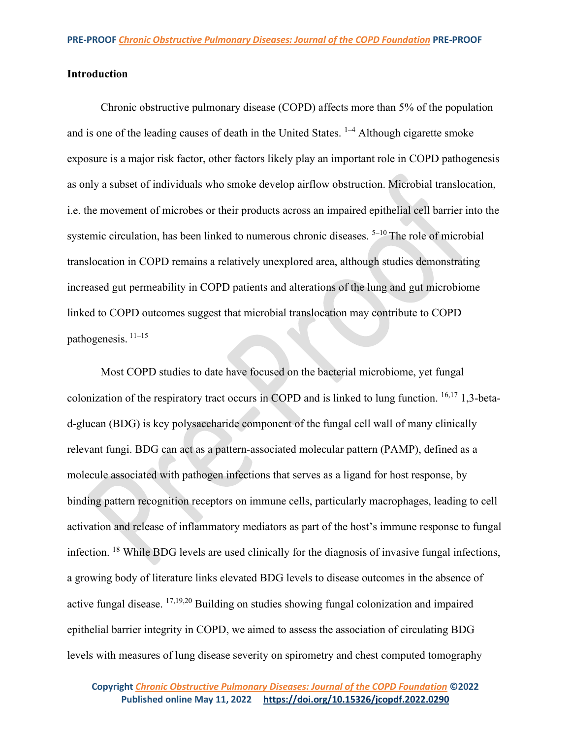## **Introduction**

Chronic obstructive pulmonary disease (COPD) affects more than 5% of the population and is one of the leading causes of death in the United States.  $1-4$  Although cigarette smoke exposure is a major risk factor, other factors likely play an important role in COPD pathogenesis as only a subset of individuals who smoke develop airflow obstruction. Microbial translocation, i.e. the movement of microbes or their products across an impaired epithelial cell barrier into the systemic circulation, has been linked to numerous chronic diseases.  $5-10$  The role of microbial translocation in COPD remains a relatively unexplored area, although studies demonstrating increased gut permeability in COPD patients and alterations of the lung and gut microbiome linked to COPD outcomes suggest that microbial translocation may contribute to COPD pathogenesis. 11–15

Most COPD studies to date have focused on the bacterial microbiome, yet fungal colonization of the respiratory tract occurs in COPD and is linked to lung function.  $16,17$  1,3-betad-glucan (BDG) is key polysaccharide component of the fungal cell wall of many clinically relevant fungi. BDG can act as a pattern-associated molecular pattern (PAMP), defined as a molecule associated with pathogen infections that serves as a ligand for host response, by binding pattern recognition receptors on immune cells, particularly macrophages, leading to cell activation and release of inflammatory mediators as part of the host's immune response to fungal infection. 18 While BDG levels are used clinically for the diagnosis of invasive fungal infections, a growing body of literature links elevated BDG levels to disease outcomes in the absence of active fungal disease. 17,19,20 Building on studies showing fungal colonization and impaired epithelial barrier integrity in COPD, we aimed to assess the association of circulating BDG levels with measures of lung disease severity on spirometry and chest computed tomography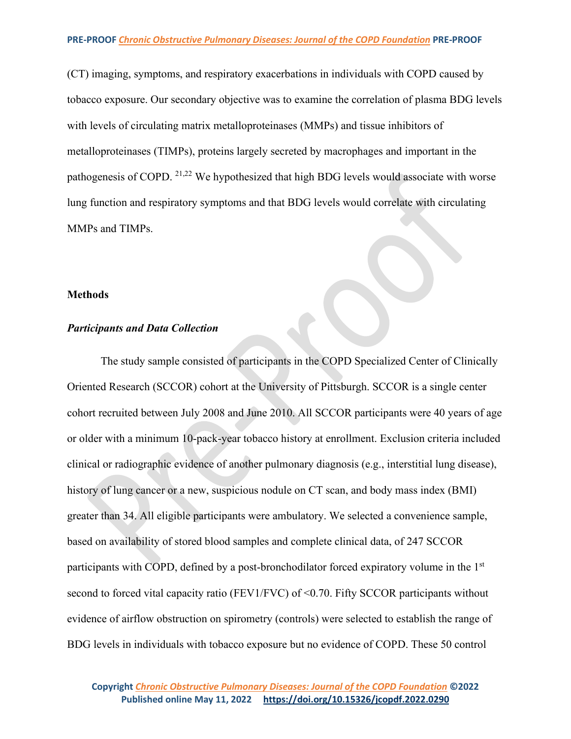(CT) imaging, symptoms, and respiratory exacerbations in individuals with COPD caused by tobacco exposure. Our secondary objective was to examine the correlation of plasma BDG levels with levels of circulating matrix metalloproteinases (MMPs) and tissue inhibitors of metalloproteinases (TIMPs), proteins largely secreted by macrophages and important in the pathogenesis of COPD. 21,22 We hypothesized that high BDG levels would associate with worse lung function and respiratory symptoms and that BDG levels would correlate with circulating MMPs and TIMPs.

#### **Methods**

### *Participants and Data Collection*

The study sample consisted of participants in the COPD Specialized Center of Clinically Oriented Research (SCCOR) cohort at the University of Pittsburgh. SCCOR is a single center cohort recruited between July 2008 and June 2010. All SCCOR participants were 40 years of age or older with a minimum 10-pack-year tobacco history at enrollment. Exclusion criteria included clinical or radiographic evidence of another pulmonary diagnosis (e.g., interstitial lung disease), history of lung cancer or a new, suspicious nodule on CT scan, and body mass index (BMI) greater than 34. All eligible participants were ambulatory. We selected a convenience sample, based on availability of stored blood samples and complete clinical data, of 247 SCCOR participants with COPD, defined by a post-bronchodilator forced expiratory volume in the 1<sup>st</sup> second to forced vital capacity ratio (FEV1/FVC) of <0.70. Fifty SCCOR participants without evidence of airflow obstruction on spirometry (controls) were selected to establish the range of BDG levels in individuals with tobacco exposure but no evidence of COPD. These 50 control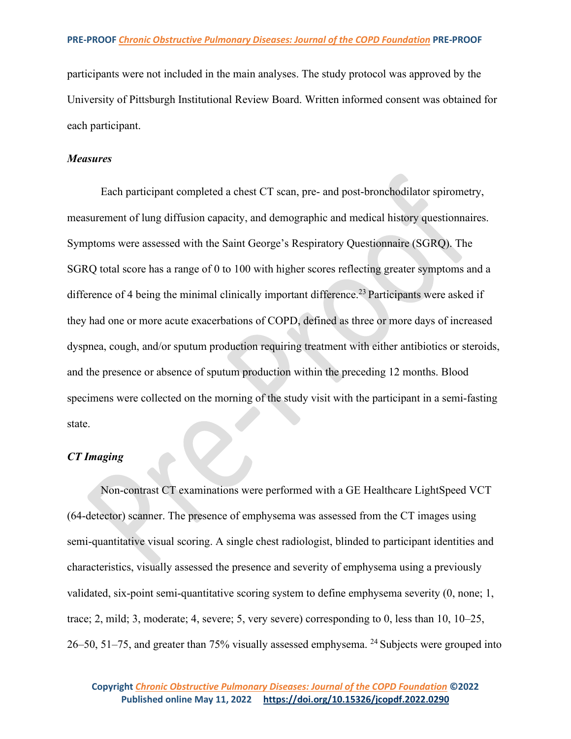participants were not included in the main analyses. The study protocol was approved by the University of Pittsburgh Institutional Review Board. Written informed consent was obtained for each participant.

### *Measures*

Each participant completed a chest CT scan, pre- and post-bronchodilator spirometry, measurement of lung diffusion capacity, and demographic and medical history questionnaires. Symptoms were assessed with the Saint George's Respiratory Questionnaire (SGRQ). The SGRQ total score has a range of 0 to 100 with higher scores reflecting greater symptoms and a difference of 4 being the minimal clinically important difference.<sup>23</sup> Participants were asked if they had one or more acute exacerbations of COPD, defined as three or more days of increased dyspnea, cough, and/or sputum production requiring treatment with either antibiotics or steroids, and the presence or absence of sputum production within the preceding 12 months. Blood specimens were collected on the morning of the study visit with the participant in a semi-fasting state.

## *CT Imaging*

Non-contrast CT examinations were performed with a GE Healthcare LightSpeed VCT (64-detector) scanner. The presence of emphysema was assessed from the CT images using semi-quantitative visual scoring. A single chest radiologist, blinded to participant identities and characteristics, visually assessed the presence and severity of emphysema using a previously validated, six-point semi-quantitative scoring system to define emphysema severity (0, none; 1, trace; 2, mild; 3, moderate; 4, severe; 5, very severe) corresponding to 0, less than 10, 10–25, 26–50, 51–75, and greater than 75% visually assessed emphysema. <sup>24</sup> Subjects were grouped into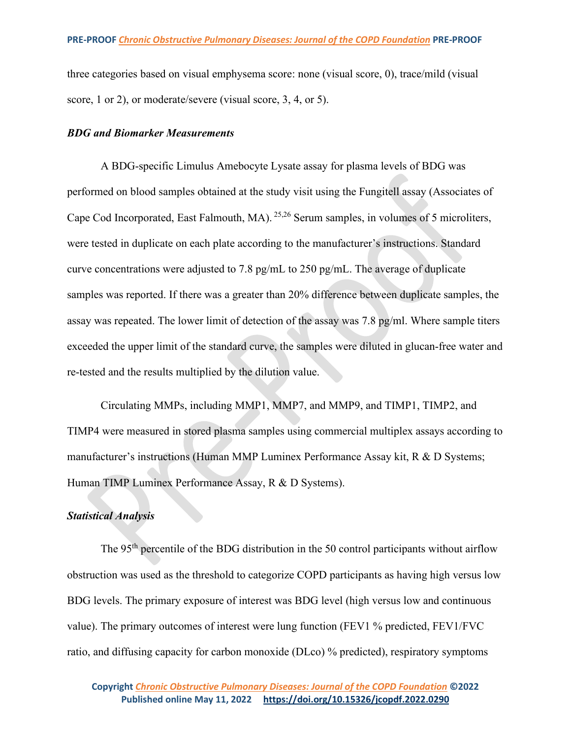three categories based on visual emphysema score: none (visual score, 0), trace/mild (visual score, 1 or 2), or moderate/severe (visual score, 3, 4, or 5).

### *BDG and Biomarker Measurements*

A BDG-specific Limulus Amebocyte Lysate assay for plasma levels of BDG was performed on blood samples obtained at the study visit using the Fungitell assay (Associates of Cape Cod Incorporated, East Falmouth, MA). 25,26 Serum samples, in volumes of 5 microliters, were tested in duplicate on each plate according to the manufacturer's instructions. Standard curve concentrations were adjusted to 7.8 pg/mL to 250 pg/mL. The average of duplicate samples was reported. If there was a greater than 20% difference between duplicate samples, the assay was repeated. The lower limit of detection of the assay was 7.8 pg/ml. Where sample titers exceeded the upper limit of the standard curve, the samples were diluted in glucan-free water and re-tested and the results multiplied by the dilution value.

Circulating MMPs, including MMP1, MMP7, and MMP9, and TIMP1, TIMP2, and TIMP4 were measured in stored plasma samples using commercial multiplex assays according to manufacturer's instructions (Human MMP Luminex Performance Assay kit, R & D Systems; Human TIMP Luminex Performance Assay, R & D Systems).

## *Statistical Analysis*

The  $95<sup>th</sup>$  percentile of the BDG distribution in the 50 control participants without airflow obstruction was used as the threshold to categorize COPD participants as having high versus low BDG levels. The primary exposure of interest was BDG level (high versus low and continuous value). The primary outcomes of interest were lung function (FEV1 % predicted, FEV1/FVC ratio, and diffusing capacity for carbon monoxide (DLco) % predicted), respiratory symptoms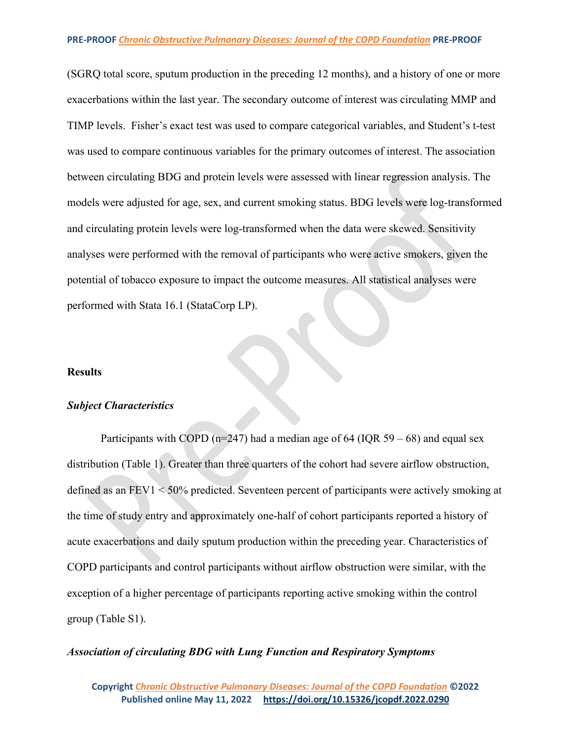(SGRQ total score, sputum production in the preceding 12 months), and a history of one or more exacerbations within the last year. The secondary outcome of interest was circulating MMP and TIMP levels. Fisher's exact test was used to compare categorical variables, and Student's t-test was used to compare continuous variables for the primary outcomes of interest. The association between circulating BDG and protein levels were assessed with linear regression analysis. The models were adjusted for age, sex, and current smoking status. BDG levels were log-transformed and circulating protein levels were log-transformed when the data were skewed. Sensitivity analyses were performed with the removal of participants who were active smokers, given the potential of tobacco exposure to impact the outcome measures. All statistical analyses were performed with Stata 16.1 (StataCorp LP).

#### **Results**

### *Subject Characteristics*

Participants with COPD ( $n=247$ ) had a median age of 64 (IQR 59 – 68) and equal sex distribution (Table 1). Greater than three quarters of the cohort had severe airflow obstruction, defined as an FEV1 < 50% predicted. Seventeen percent of participants were actively smoking at the time of study entry and approximately one-half of cohort participants reported a history of acute exacerbations and daily sputum production within the preceding year. Characteristics of COPD participants and control participants without airflow obstruction were similar, with the exception of a higher percentage of participants reporting active smoking within the control group (Table S1).

### *Association of circulating BDG with Lung Function and Respiratory Symptoms*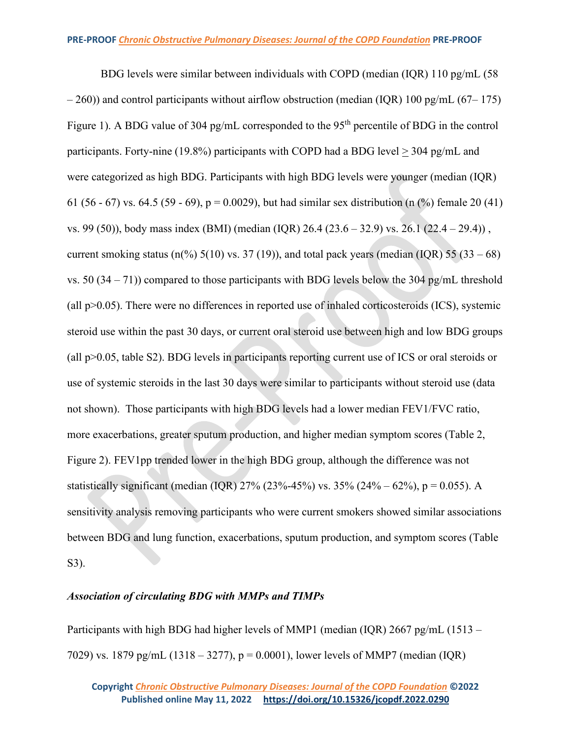BDG levels were similar between individuals with COPD (median (IQR) 110 pg/mL (58  $-260$ )) and control participants without airflow obstruction (median (IQR) 100 pg/mL (67–175) Figure 1). A BDG value of 304 pg/mL corresponded to the 95<sup>th</sup> percentile of BDG in the control participants. Forty-nine (19.8%) participants with COPD had a BDG level > 304 pg/mL and were categorized as high BDG. Participants with high BDG levels were younger (median (IQR) 61 (56 - 67) vs. 64.5 (59 - 69), p = 0.0029), but had similar sex distribution (n  $\frac{6}{6}$ ) female 20 (41) vs. 99 (50)), body mass index (BMI) (median (IQR) 26.4 (23.6 – 32.9) vs. 26.1 (22.4 – 29.4)) , current smoking status (n(%)  $5(10)$  vs. 37 (19)), and total pack years (median (IQR)  $55(33-68)$ vs. 50  $(34 - 71)$ ) compared to those participants with BDG levels below the 304 pg/mL threshold (all  $p>0.05$ ). There were no differences in reported use of inhaled corticosteroids (ICS), systemic steroid use within the past 30 days, or current oral steroid use between high and low BDG groups (all p>0.05, table S2). BDG levels in participants reporting current use of ICS or oral steroids or use of systemic steroids in the last 30 days were similar to participants without steroid use (data not shown). Those participants with high BDG levels had a lower median FEV1/FVC ratio, more exacerbations, greater sputum production, and higher median symptom scores (Table 2, Figure 2). FEV1pp trended lower in the high BDG group, although the difference was not statistically significant (median (IQR)  $27\%$  (23%-45%) vs.  $35\%$  (24% – 62%), p = 0.055). A sensitivity analysis removing participants who were current smokers showed similar associations between BDG and lung function, exacerbations, sputum production, and symptom scores (Table S3).

## *Association of circulating BDG with MMPs and TIMPs*

Participants with high BDG had higher levels of MMP1 (median (IQR) 2667 pg/mL (1513 – 7029) vs. 1879 pg/mL (1318 – 3277), p = 0.0001), lower levels of MMP7 (median (IQR)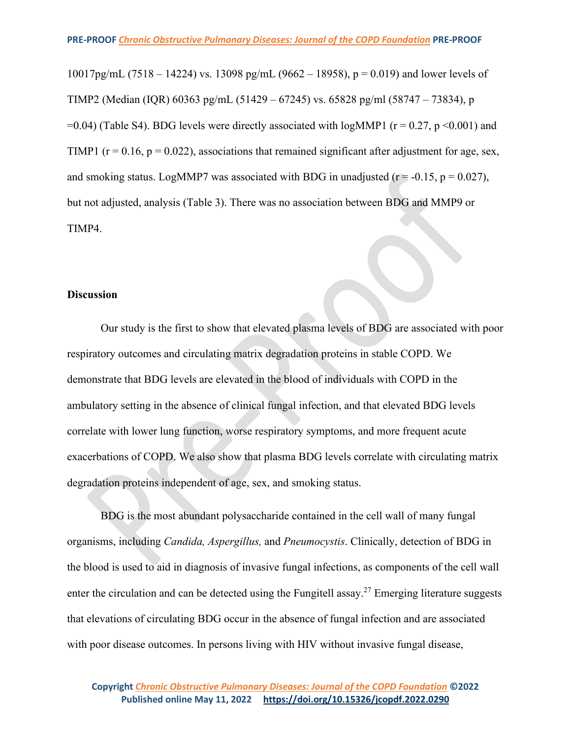10017pg/mL (7518 – 14224) vs. 13098 pg/mL (9662 – 18958),  $p = 0.019$ ) and lower levels of TIMP2 (Median (IQR) 60363 pg/mL (51429 – 67245) vs. 65828 pg/ml (58747 – 73834), p  $=0.04$ ) (Table S4). BDG levels were directly associated with logMMP1 ( $r = 0.27$ ,  $p \le 0.001$ ) and TIMP1 ( $r = 0.16$ ,  $p = 0.022$ ), associations that remained significant after adjustment for age, sex, and smoking status. LogMMP7 was associated with BDG in unadjusted ( $r = -0.15$ ,  $p = 0.027$ ), but not adjusted, analysis (Table 3). There was no association between BDG and MMP9 or TIMP4.

## **Discussion**

Our study is the first to show that elevated plasma levels of BDG are associated with poor respiratory outcomes and circulating matrix degradation proteins in stable COPD. We demonstrate that BDG levels are elevated in the blood of individuals with COPD in the ambulatory setting in the absence of clinical fungal infection, and that elevated BDG levels correlate with lower lung function, worse respiratory symptoms, and more frequent acute exacerbations of COPD. We also show that plasma BDG levels correlate with circulating matrix degradation proteins independent of age, sex, and smoking status.

BDG is the most abundant polysaccharide contained in the cell wall of many fungal organisms, including *Candida, Aspergillus,* and *Pneumocystis*. Clinically, detection of BDG in the blood is used to aid in diagnosis of invasive fungal infections, as components of the cell wall enter the circulation and can be detected using the Fungitell assay.<sup>27</sup> Emerging literature suggests that elevations of circulating BDG occur in the absence of fungal infection and are associated with poor disease outcomes. In persons living with HIV without invasive fungal disease,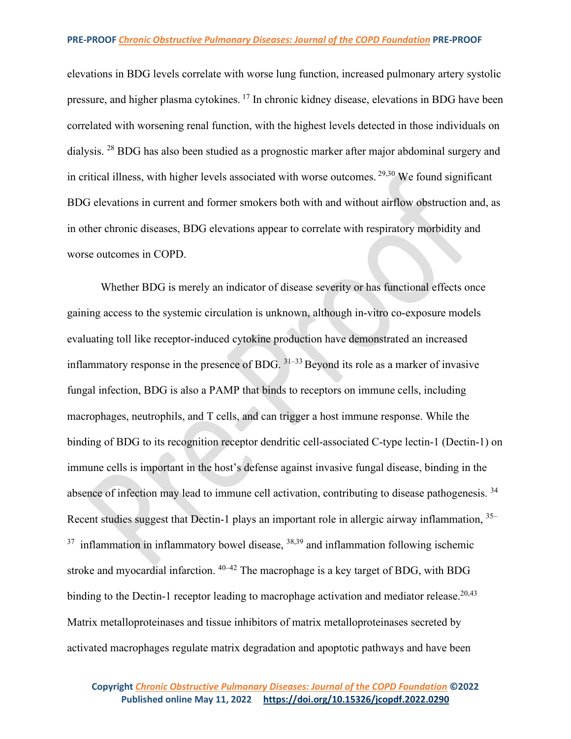elevations in BDG levels correlate with worse lung function, increased pulmonary artery systolic pressure, and higher plasma cytokines. <sup>17</sup> In chronic kidney disease, elevations in BDG have been correlated with worsening renal function, with the highest levels detected in those individuals on dialysis. <sup>28</sup> BDG has also been studied as a prognostic marker after major abdominal surgery and in critical illness, with higher levels associated with worse outcomes. 29,30 We found significant BDG elevations in current and former smokers both with and without airflow obstruction and, as in other chronic diseases, BDG elevations appear to correlate with respiratory morbidity and worse outcomes in COPD.

Whether BDG is merely an indicator of disease severity or has functional effects once gaining access to the systemic circulation is unknown, although in-vitro co-exposure models evaluating toll like receptor-induced cytokine production have demonstrated an increased inflammatory response in the presence of BDG.  $31-33$  Beyond its role as a marker of invasive fungal infection, BDG is also a PAMP that binds to receptors on immune cells, including macrophages, neutrophils, and T cells, and can trigger a host immune response. While the binding of BDG to its recognition receptor dendritic cell-associated C-type lectin-1 (Dectin-1) on immune cells is important in the host's defense against invasive fungal disease, binding in the absence of infection may lead to immune cell activation, contributing to disease pathogenesis.<sup>34</sup> Recent studies suggest that Dectin-1 plays an important role in allergic airway inflammation, <sup>35–</sup>  $37$  inflammation in inflammatory bowel disease,  $38,39$  and inflammation following ischemic stroke and myocardial infarction.  $40-42$  The macrophage is a key target of BDG, with BDG binding to the Dectin-1 receptor leading to macrophage activation and mediator release.<sup>20,43</sup> Matrix metalloproteinases and tissue inhibitors of matrix metalloproteinases secreted by activated macrophages regulate matrix degradation and apoptotic pathways and have been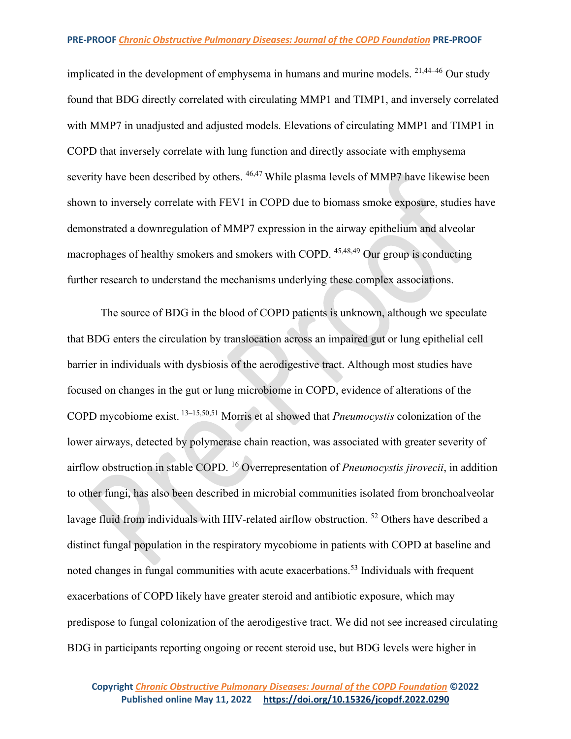implicated in the development of emphysema in humans and murine models. 21,44–46 Our study found that BDG directly correlated with circulating MMP1 and TIMP1, and inversely correlated with MMP7 in unadjusted and adjusted models. Elevations of circulating MMP1 and TIMP1 in COPD that inversely correlate with lung function and directly associate with emphysema severity have been described by others. <sup>46,47</sup> While plasma levels of MMP7 have likewise been shown to inversely correlate with FEV1 in COPD due to biomass smoke exposure, studies have demonstrated a downregulation of MMP7 expression in the airway epithelium and alveolar macrophages of healthy smokers and smokers with COPD. 45,48,49 Our group is conducting further research to understand the mechanisms underlying these complex associations.

The source of BDG in the blood of COPD patients is unknown, although we speculate that BDG enters the circulation by translocation across an impaired gut or lung epithelial cell barrier in individuals with dysbiosis of the aerodigestive tract. Although most studies have focused on changes in the gut or lung microbiome in COPD, evidence of alterations of the COPD mycobiome exist. 13–15,50,51 Morris et al showed that *Pneumocystis* colonization of the lower airways, detected by polymerase chain reaction, was associated with greater severity of airflow obstruction in stable COPD. 16 Overrepresentation of *Pneumocystis jirovecii*, in addition to other fungi, has also been described in microbial communities isolated from bronchoalveolar lavage fluid from individuals with HIV-related airflow obstruction.<sup>52</sup> Others have described a distinct fungal population in the respiratory mycobiome in patients with COPD at baseline and noted changes in fungal communities with acute exacerbations.<sup>53</sup> Individuals with frequent exacerbations of COPD likely have greater steroid and antibiotic exposure, which may predispose to fungal colonization of the aerodigestive tract. We did not see increased circulating BDG in participants reporting ongoing or recent steroid use, but BDG levels were higher in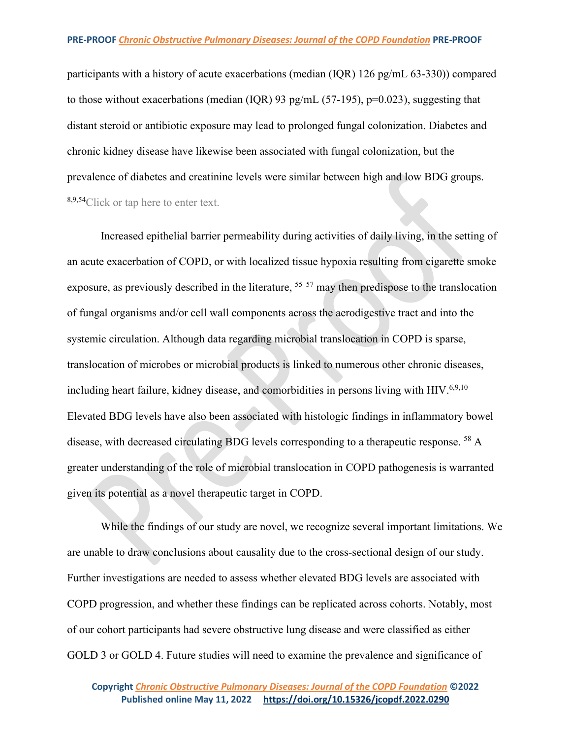participants with a history of acute exacerbations (median (IQR) 126 pg/mL 63-330)) compared to those without exacerbations (median (IQR) 93 pg/mL (57-195),  $p=0.023$ ), suggesting that distant steroid or antibiotic exposure may lead to prolonged fungal colonization. Diabetes and chronic kidney disease have likewise been associated with fungal colonization, but the prevalence of diabetes and creatinine levels were similar between high and low BDG groups. 8,9,54Click or tap here to enter text.

Increased epithelial barrier permeability during activities of daily living, in the setting of an acute exacerbation of COPD, or with localized tissue hypoxia resulting from cigarette smoke exposure, as previously described in the literature, <sup>55–57</sup> may then predispose to the translocation of fungal organisms and/or cell wall components across the aerodigestive tract and into the systemic circulation. Although data regarding microbial translocation in COPD is sparse, translocation of microbes or microbial products is linked to numerous other chronic diseases, including heart failure, kidney disease, and comorbidities in persons living with  $HIV.^{6,9,10}$ Elevated BDG levels have also been associated with histologic findings in inflammatory bowel disease, with decreased circulating BDG levels corresponding to a therapeutic response. <sup>58</sup> A greater understanding of the role of microbial translocation in COPD pathogenesis is warranted given its potential as a novel therapeutic target in COPD.

While the findings of our study are novel, we recognize several important limitations. We are unable to draw conclusions about causality due to the cross-sectional design of our study. Further investigations are needed to assess whether elevated BDG levels are associated with COPD progression, and whether these findings can be replicated across cohorts. Notably, most of our cohort participants had severe obstructive lung disease and were classified as either GOLD 3 or GOLD 4. Future studies will need to examine the prevalence and significance of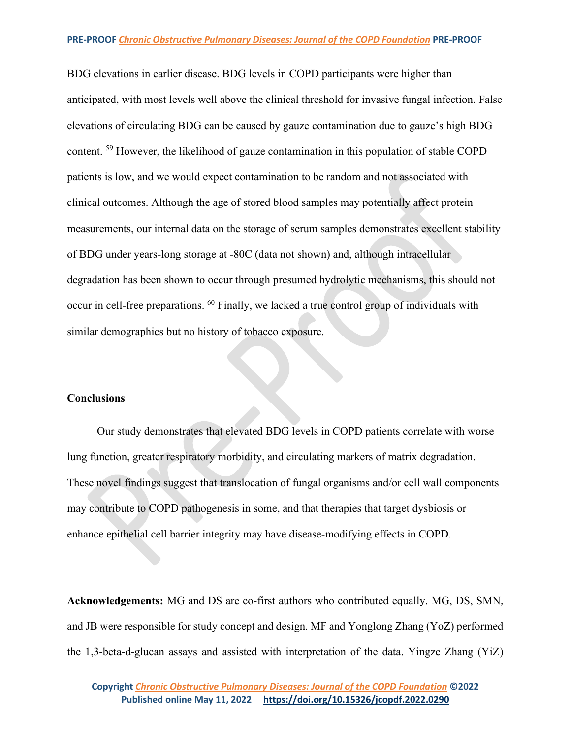BDG elevations in earlier disease. BDG levels in COPD participants were higher than anticipated, with most levels well above the clinical threshold for invasive fungal infection. False elevations of circulating BDG can be caused by gauze contamination due to gauze's high BDG content. <sup>59</sup> However, the likelihood of gauze contamination in this population of stable COPD patients is low, and we would expect contamination to be random and not associated with clinical outcomes. Although the age of stored blood samples may potentially affect protein measurements, our internal data on the storage of serum samples demonstrates excellent stability of BDG under years-long storage at -80C (data not shown) and, although intracellular degradation has been shown to occur through presumed hydrolytic mechanisms, this should not occur in cell-free preparations. <sup>60</sup> Finally, we lacked a true control group of individuals with similar demographics but no history of tobacco exposure.

### **Conclusions**

Our study demonstrates that elevated BDG levels in COPD patients correlate with worse lung function, greater respiratory morbidity, and circulating markers of matrix degradation. These novel findings suggest that translocation of fungal organisms and/or cell wall components may contribute to COPD pathogenesis in some, and that therapies that target dysbiosis or enhance epithelial cell barrier integrity may have disease-modifying effects in COPD.

**Acknowledgements:** MG and DS are co-first authors who contributed equally. MG, DS, SMN, and JB were responsible for study concept and design. MF and Yonglong Zhang (YoZ) performed the 1,3-beta-d-glucan assays and assisted with interpretation of the data. Yingze Zhang (YiZ)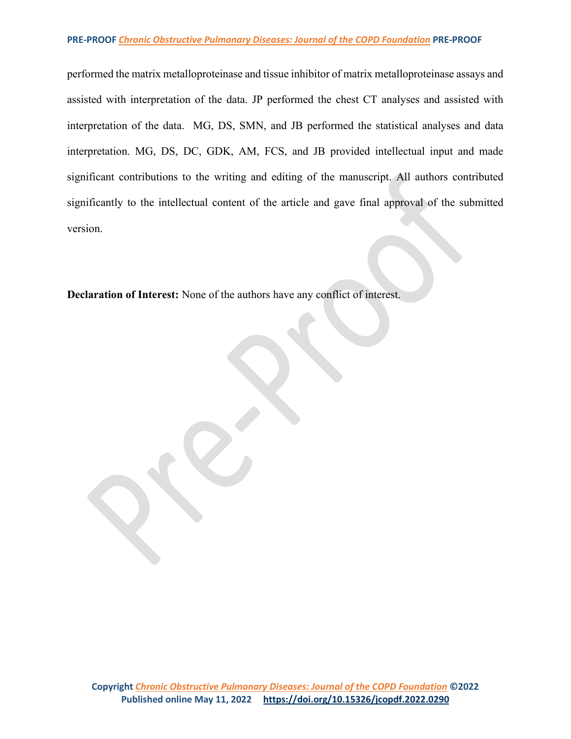performed the matrix metalloproteinase and tissue inhibitor of matrix metalloproteinase assays and assisted with interpretation of the data. JP performed the chest CT analyses and assisted with interpretation of the data. MG, DS, SMN, and JB performed the statistical analyses and data interpretation. MG, DS, DC, GDK, AM, FCS, and JB provided intellectual input and made significant contributions to the writing and editing of the manuscript. All authors contributed significantly to the intellectual content of the article and gave final approval of the submitted version.

**Declaration of Interest:** None of the authors have any conflict of interest.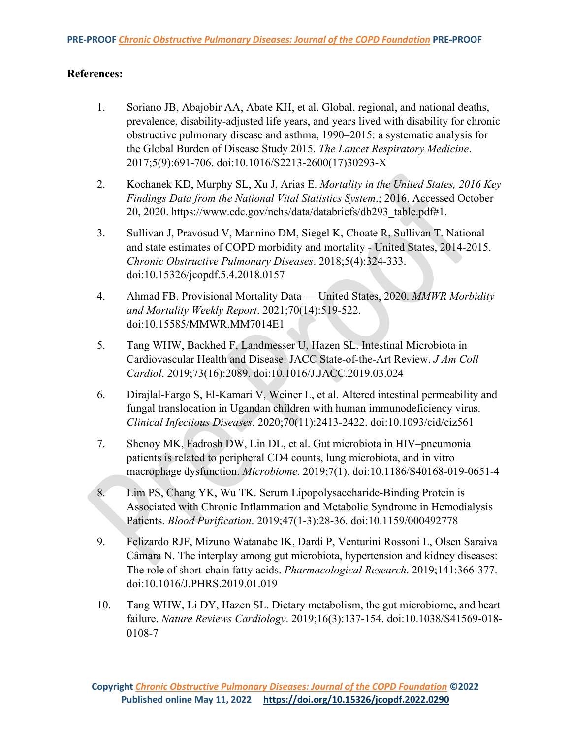## **References:**

- 1. Soriano JB, Abajobir AA, Abate KH, et al. Global, regional, and national deaths, prevalence, disability-adjusted life years, and years lived with disability for chronic obstructive pulmonary disease and asthma, 1990–2015: a systematic analysis for the Global Burden of Disease Study 2015. *The Lancet Respiratory Medicine*. 2017;5(9):691-706. doi:10.1016/S2213-2600(17)30293-X
- 2. Kochanek KD, Murphy SL, Xu J, Arias E. *Mortality in the United States, 2016 Key Findings Data from the National Vital Statistics System*.; 2016. Accessed October 20, 2020. https://www.cdc.gov/nchs/data/databriefs/db293\_table.pdf#1.
- 3. Sullivan J, Pravosud V, Mannino DM, Siegel K, Choate R, Sullivan T. National and state estimates of COPD morbidity and mortality - United States, 2014-2015. *Chronic Obstructive Pulmonary Diseases*. 2018;5(4):324-333. doi:10.15326/jcopdf.5.4.2018.0157
- 4. Ahmad FB. Provisional Mortality Data United States, 2020. *MMWR Morbidity and Mortality Weekly Report*. 2021;70(14):519-522. doi:10.15585/MMWR.MM7014E1
- 5. Tang WHW, Backhed F, Landmesser U, Hazen SL. Intestinal Microbiota in Cardiovascular Health and Disease: JACC State-of-the-Art Review. *J Am Coll Cardiol*. 2019;73(16):2089. doi:10.1016/J.JACC.2019.03.024
- 6. Dirajlal-Fargo S, El-Kamari V, Weiner L, et al. Altered intestinal permeability and fungal translocation in Ugandan children with human immunodeficiency virus. *Clinical Infectious Diseases*. 2020;70(11):2413-2422. doi:10.1093/cid/ciz561
- 7. Shenoy MK, Fadrosh DW, Lin DL, et al. Gut microbiota in HIV–pneumonia patients is related to peripheral CD4 counts, lung microbiota, and in vitro macrophage dysfunction. *Microbiome*. 2019;7(1). doi:10.1186/S40168-019-0651-4
- 8. Lim PS, Chang YK, Wu TK. Serum Lipopolysaccharide-Binding Protein is Associated with Chronic Inflammation and Metabolic Syndrome in Hemodialysis Patients. *Blood Purification*. 2019;47(1-3):28-36. doi:10.1159/000492778
- 9. Felizardo RJF, Mizuno Watanabe IK, Dardi P, Venturini Rossoni L, Olsen Saraiva Câmara N. The interplay among gut microbiota, hypertension and kidney diseases: The role of short-chain fatty acids. *Pharmacological Research*. 2019;141:366-377. doi:10.1016/J.PHRS.2019.01.019
- 10. Tang WHW, Li DY, Hazen SL. Dietary metabolism, the gut microbiome, and heart failure. *Nature Reviews Cardiology*. 2019;16(3):137-154. doi:10.1038/S41569-018- 0108-7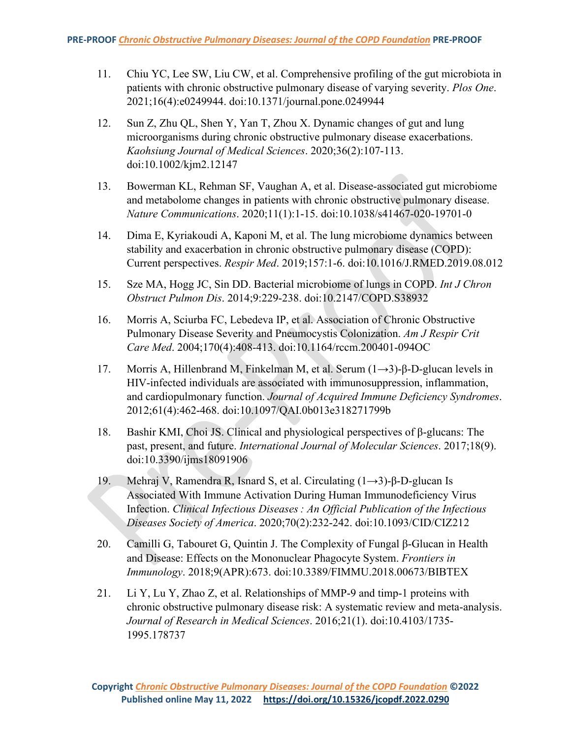- 11. Chiu YC, Lee SW, Liu CW, et al. Comprehensive profiling of the gut microbiota in patients with chronic obstructive pulmonary disease of varying severity. *Plos One*. 2021;16(4):e0249944. doi:10.1371/journal.pone.0249944
- 12. Sun Z, Zhu QL, Shen Y, Yan T, Zhou X. Dynamic changes of gut and lung microorganisms during chronic obstructive pulmonary disease exacerbations. *Kaohsiung Journal of Medical Sciences*. 2020;36(2):107-113. doi:10.1002/kjm2.12147
- 13. Bowerman KL, Rehman SF, Vaughan A, et al. Disease-associated gut microbiome and metabolome changes in patients with chronic obstructive pulmonary disease. *Nature Communications*. 2020;11(1):1-15. doi:10.1038/s41467-020-19701-0
- 14. Dima E, Kyriakoudi A, Kaponi M, et al. The lung microbiome dynamics between stability and exacerbation in chronic obstructive pulmonary disease (COPD): Current perspectives. *Respir Med*. 2019;157:1-6. doi:10.1016/J.RMED.2019.08.012
- 15. Sze MA, Hogg JC, Sin DD. Bacterial microbiome of lungs in COPD. *Int J Chron Obstruct Pulmon Dis*. 2014;9:229-238. doi:10.2147/COPD.S38932
- 16. Morris A, Sciurba FC, Lebedeva IP, et al. Association of Chronic Obstructive Pulmonary Disease Severity and Pneumocystis Colonization. *Am J Respir Crit Care Med*. 2004;170(4):408-413. doi:10.1164/rccm.200401-094OC
- 17. Morris A, Hillenbrand M, Finkelman M, et al. Serum (1→3)-β-D-glucan levels in HIV-infected individuals are associated with immunosuppression, inflammation, and cardiopulmonary function. *Journal of Acquired Immune Deficiency Syndromes*. 2012;61(4):462-468. doi:10.1097/QAI.0b013e318271799b
- 18. Bashir KMI, Choi JS. Clinical and physiological perspectives of β-glucans: The past, present, and future. *International Journal of Molecular Sciences*. 2017;18(9). doi:10.3390/ijms18091906
- 19. Mehraj V, Ramendra R, Isnard S, et al. Circulating (1→3)-β-D-glucan Is Associated With Immune Activation During Human Immunodeficiency Virus Infection. *Clinical Infectious Diseases : An Official Publication of the Infectious Diseases Society of America*. 2020;70(2):232-242. doi:10.1093/CID/CIZ212
- 20. Camilli G, Tabouret G, Quintin J. The Complexity of Fungal β-Glucan in Health and Disease: Effects on the Mononuclear Phagocyte System. *Frontiers in Immunology*. 2018;9(APR):673. doi:10.3389/FIMMU.2018.00673/BIBTEX
- 21. Li Y, Lu Y, Zhao Z, et al. Relationships of MMP-9 and timp-1 proteins with chronic obstructive pulmonary disease risk: A systematic review and meta-analysis. *Journal of Research in Medical Sciences*. 2016;21(1). doi:10.4103/1735- 1995.178737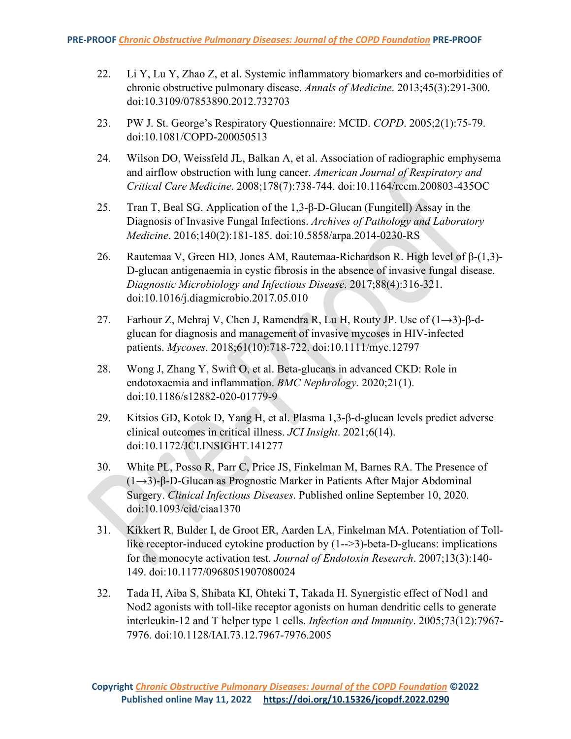- 22. Li Y, Lu Y, Zhao Z, et al. Systemic inflammatory biomarkers and co-morbidities of chronic obstructive pulmonary disease. *Annals of Medicine*. 2013;45(3):291-300. doi:10.3109/07853890.2012.732703
- 23. PW J. St. George's Respiratory Questionnaire: MCID. *COPD*. 2005;2(1):75-79. doi:10.1081/COPD-200050513
- 24. Wilson DO, Weissfeld JL, Balkan A, et al. Association of radiographic emphysema and airflow obstruction with lung cancer. *American Journal of Respiratory and Critical Care Medicine*. 2008;178(7):738-744. doi:10.1164/rccm.200803-435OC
- 25. Tran T, Beal SG. Application of the 1,3-β-D-Glucan (Fungitell) Assay in the Diagnosis of Invasive Fungal Infections. *Archives of Pathology and Laboratory Medicine*. 2016;140(2):181-185. doi:10.5858/arpa.2014-0230-RS
- 26. Rautemaa V, Green HD, Jones AM, Rautemaa-Richardson R. High level of β-(1,3)- D-glucan antigenaemia in cystic fibrosis in the absence of invasive fungal disease. *Diagnostic Microbiology and Infectious Disease*. 2017;88(4):316-321. doi:10.1016/j.diagmicrobio.2017.05.010
- 27. Farhour Z, Mehraj V, Chen J, Ramendra R, Lu H, Routy JP. Use of (1→3)-β-dglucan for diagnosis and management of invasive mycoses in HIV-infected patients. *Mycoses*. 2018;61(10):718-722. doi:10.1111/myc.12797
- 28. Wong J, Zhang Y, Swift O, et al. Beta-glucans in advanced CKD: Role in endotoxaemia and inflammation. *BMC Nephrology*. 2020;21(1). doi:10.1186/s12882-020-01779-9
- 29. Kitsios GD, Kotok D, Yang H, et al. Plasma 1,3-β-d-glucan levels predict adverse clinical outcomes in critical illness. *JCI Insight*. 2021;6(14). doi:10.1172/JCI.INSIGHT.141277
- 30. White PL, Posso R, Parr C, Price JS, Finkelman M, Barnes RA. The Presence of (1→3)-β-D-Glucan as Prognostic Marker in Patients After Major Abdominal Surgery. *Clinical Infectious Diseases*. Published online September 10, 2020. doi:10.1093/cid/ciaa1370
- 31. Kikkert R, Bulder I, de Groot ER, Aarden LA, Finkelman MA. Potentiation of Tolllike receptor-induced cytokine production by (1-->3)-beta-D-glucans: implications for the monocyte activation test. *Journal of Endotoxin Research*. 2007;13(3):140- 149. doi:10.1177/0968051907080024
- 32. Tada H, Aiba S, Shibata KI, Ohteki T, Takada H. Synergistic effect of Nod1 and Nod2 agonists with toll-like receptor agonists on human dendritic cells to generate interleukin-12 and T helper type 1 cells. *Infection and Immunity*. 2005;73(12):7967- 7976. doi:10.1128/IAI.73.12.7967-7976.2005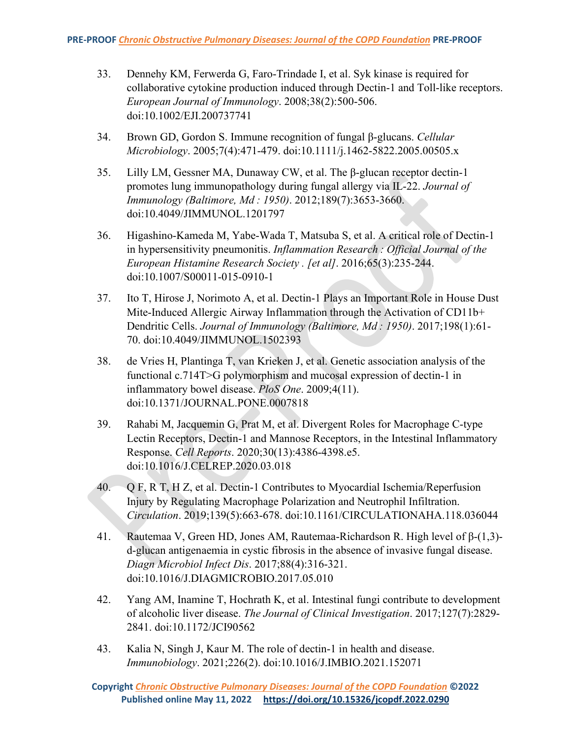- 33. Dennehy KM, Ferwerda G, Faro-Trindade I, et al. Syk kinase is required for collaborative cytokine production induced through Dectin-1 and Toll-like receptors. *European Journal of Immunology*. 2008;38(2):500-506. doi:10.1002/EJI.200737741
- 34. Brown GD, Gordon S. Immune recognition of fungal β-glucans. *Cellular Microbiology*. 2005;7(4):471-479. doi:10.1111/j.1462-5822.2005.00505.x
- 35. Lilly LM, Gessner MA, Dunaway CW, et al. The β-glucan receptor dectin-1 promotes lung immunopathology during fungal allergy via IL-22. *Journal of Immunology (Baltimore, Md : 1950)*. 2012;189(7):3653-3660. doi:10.4049/JIMMUNOL.1201797
- 36. Higashino-Kameda M, Yabe-Wada T, Matsuba S, et al. A critical role of Dectin-1 in hypersensitivity pneumonitis. *Inflammation Research : Official Journal of the European Histamine Research Society . [et al]*. 2016;65(3):235-244. doi:10.1007/S00011-015-0910-1
- 37. Ito T, Hirose J, Norimoto A, et al. Dectin-1 Plays an Important Role in House Dust Mite-Induced Allergic Airway Inflammation through the Activation of CD11b+ Dendritic Cells. *Journal of Immunology (Baltimore, Md : 1950)*. 2017;198(1):61- 70. doi:10.4049/JIMMUNOL.1502393
- 38. de Vries H, Plantinga T, van Krieken J, et al. Genetic association analysis of the functional c.714T>G polymorphism and mucosal expression of dectin-1 in inflammatory bowel disease. *PloS One*. 2009;4(11). doi:10.1371/JOURNAL.PONE.0007818
- 39. Rahabi M, Jacquemin G, Prat M, et al. Divergent Roles for Macrophage C-type Lectin Receptors, Dectin-1 and Mannose Receptors, in the Intestinal Inflammatory Response. *Cell Reports*. 2020;30(13):4386-4398.e5. doi:10.1016/J.CELREP.2020.03.018
- $40.$  Q F, R T, H Z, et al. Dectin-1 Contributes to Myocardial Ischemia/Reperfusion Injury by Regulating Macrophage Polarization and Neutrophil Infiltration. *Circulation*. 2019;139(5):663-678. doi:10.1161/CIRCULATIONAHA.118.036044
- 41. Rautemaa V, Green HD, Jones AM, Rautemaa-Richardson R. High level of β-(1,3) d-glucan antigenaemia in cystic fibrosis in the absence of invasive fungal disease. *Diagn Microbiol Infect Dis*. 2017;88(4):316-321. doi:10.1016/J.DIAGMICROBIO.2017.05.010
- 42. Yang AM, Inamine T, Hochrath K, et al. Intestinal fungi contribute to development of alcoholic liver disease. *The Journal of Clinical Investigation*. 2017;127(7):2829- 2841. doi:10.1172/JCI90562
- 43. Kalia N, Singh J, Kaur M. The role of dectin-1 in health and disease. *Immunobiology*. 2021;226(2). doi:10.1016/J.IMBIO.2021.152071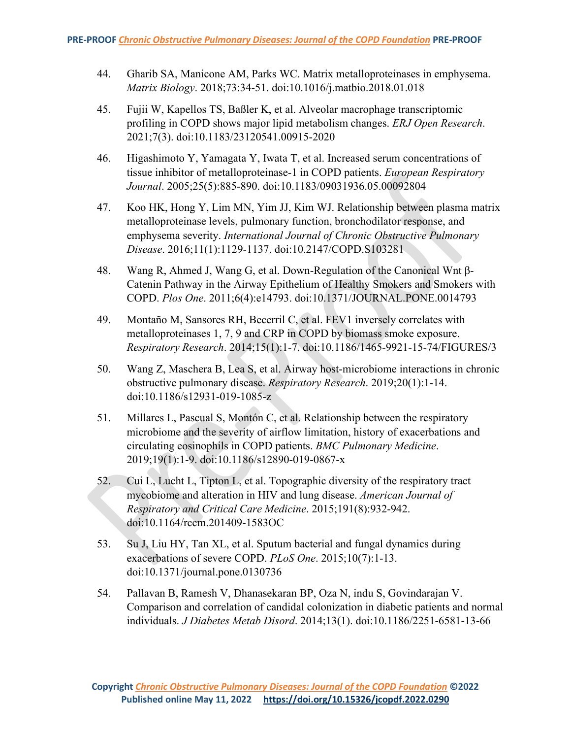- 44. Gharib SA, Manicone AM, Parks WC. Matrix metalloproteinases in emphysema. *Matrix Biology*. 2018;73:34-51. doi:10.1016/j.matbio.2018.01.018
- 45. Fujii W, Kapellos TS, Baßler K, et al. Alveolar macrophage transcriptomic profiling in COPD shows major lipid metabolism changes. *ERJ Open Research*. 2021;7(3). doi:10.1183/23120541.00915-2020
- 46. Higashimoto Y, Yamagata Y, Iwata T, et al. Increased serum concentrations of tissue inhibitor of metalloproteinase-1 in COPD patients. *European Respiratory Journal*. 2005;25(5):885-890. doi:10.1183/09031936.05.00092804
- 47. Koo HK, Hong Y, Lim MN, Yim JJ, Kim WJ. Relationship between plasma matrix metalloproteinase levels, pulmonary function, bronchodilator response, and emphysema severity. *International Journal of Chronic Obstructive Pulmonary Disease*. 2016;11(1):1129-1137. doi:10.2147/COPD.S103281
- 48. Wang R, Ahmed J, Wang G, et al. Down-Regulation of the Canonical Wnt β-Catenin Pathway in the Airway Epithelium of Healthy Smokers and Smokers with COPD. *Plos One*. 2011;6(4):e14793. doi:10.1371/JOURNAL.PONE.0014793
- 49. Montaño M, Sansores RH, Becerril C, et al. FEV1 inversely correlates with metalloproteinases 1, 7, 9 and CRP in COPD by biomass smoke exposure. *Respiratory Research*. 2014;15(1):1-7. doi:10.1186/1465-9921-15-74/FIGURES/3
- 50. Wang Z, Maschera B, Lea S, et al. Airway host-microbiome interactions in chronic obstructive pulmonary disease. *Respiratory Research*. 2019;20(1):1-14. doi:10.1186/s12931-019-1085-z
- 51. Millares L, Pascual S, Montón C, et al. Relationship between the respiratory microbiome and the severity of airflow limitation, history of exacerbations and circulating eosinophils in COPD patients. *BMC Pulmonary Medicine*. 2019;19(1):1-9. doi:10.1186/s12890-019-0867-x
- 52. Cui L, Lucht L, Tipton L, et al. Topographic diversity of the respiratory tract mycobiome and alteration in HIV and lung disease. *American Journal of Respiratory and Critical Care Medicine*. 2015;191(8):932-942. doi:10.1164/rccm.201409-1583OC
- 53. Su J, Liu HY, Tan XL, et al. Sputum bacterial and fungal dynamics during exacerbations of severe COPD. *PLoS One*. 2015;10(7):1-13. doi:10.1371/journal.pone.0130736
- 54. Pallavan B, Ramesh V, Dhanasekaran BP, Oza N, indu S, Govindarajan V. Comparison and correlation of candidal colonization in diabetic patients and normal individuals. *J Diabetes Metab Disord*. 2014;13(1). doi:10.1186/2251-6581-13-66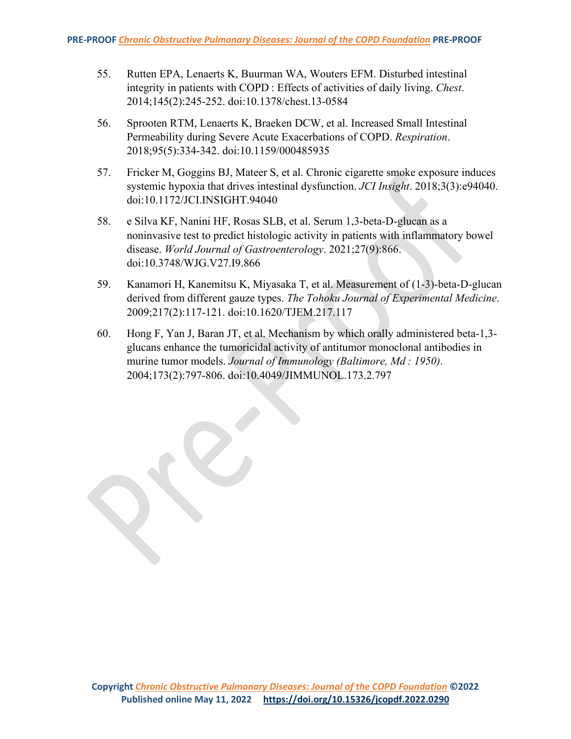- 55. Rutten EPA, Lenaerts K, Buurman WA, Wouters EFM. Disturbed intestinal integrity in patients with COPD : Effects of activities of daily living. *Chest*. 2014;145(2):245-252. doi:10.1378/chest.13-0584
- 56. Sprooten RTM, Lenaerts K, Braeken DCW, et al. Increased Small Intestinal Permeability during Severe Acute Exacerbations of COPD. *Respiration*. 2018;95(5):334-342. doi:10.1159/000485935
- 57. Fricker M, Goggins BJ, Mateer S, et al. Chronic cigarette smoke exposure induces systemic hypoxia that drives intestinal dysfunction. *JCI Insight*. 2018;3(3):e94040. doi:10.1172/JCI.INSIGHT.94040
- 58. e Silva KF, Nanini HF, Rosas SLB, et al. Serum 1,3-beta-D-glucan as a noninvasive test to predict histologic activity in patients with inflammatory bowel disease. *World Journal of Gastroenterology*. 2021;27(9):866. doi:10.3748/WJG.V27.I9.866
- 59. Kanamori H, Kanemitsu K, Miyasaka T, et al. Measurement of (1-3)-beta-D-glucan derived from different gauze types. *The Tohoku Journal of Experimental Medicine*. 2009;217(2):117-121. doi:10.1620/TJEM.217.117
- 60. Hong F, Yan J, Baran JT, et al. Mechanism by which orally administered beta-1,3 glucans enhance the tumoricidal activity of antitumor monoclonal antibodies in murine tumor models. *Journal of Immunology (Baltimore, Md : 1950)*. 2004;173(2):797-806. doi:10.4049/JIMMUNOL.173.2.797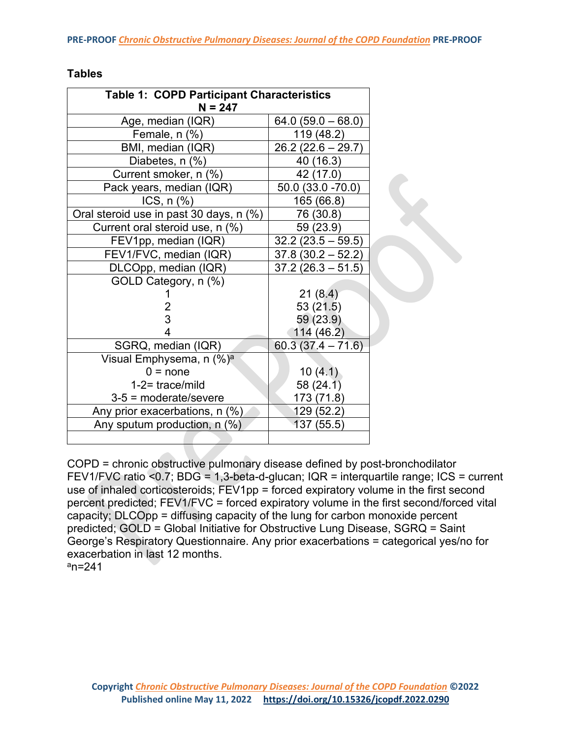| able |
|------|
|------|

| <b>Table 1: COPD Participant Characteristics</b><br>$N = 247$ |                     |  |  |
|---------------------------------------------------------------|---------------------|--|--|
| Age, median (IQR)                                             | $64.0(59.0-68.0)$   |  |  |
| Female, n (%)                                                 | 119 (48.2)          |  |  |
| BMI, median (IQR)                                             | $26.2(22.6 - 29.7)$ |  |  |
| Diabetes, n (%)                                               | 40 (16.3)           |  |  |
| Current smoker, n (%)                                         | 42 (17.0)           |  |  |
| Pack years, median (IQR)                                      | $50.0(33.0 - 70.0)$ |  |  |
| ICS, $n$ $%$                                                  | 165 (66.8)          |  |  |
| Oral steroid use in past 30 days, n (%)                       | 76 (30.8)           |  |  |
| Current oral steroid use, n (%)                               | 59 (23.9)           |  |  |
| FEV1pp, median (IQR)                                          | $32.2(23.5 - 59.5)$ |  |  |
| FEV1/FVC, median (IQR)                                        | $37.8(30.2 - 52.2)$ |  |  |
| DLCOpp, median (IQR)                                          | $37.2(26.3 - 51.5)$ |  |  |
| GOLD Category, n (%)                                          |                     |  |  |
|                                                               | 21(8.4)             |  |  |
| $\frac{2}{3}$                                                 | 53 (21.5)           |  |  |
|                                                               | 59 (23.9)           |  |  |
| 4                                                             | 114 (46.2)          |  |  |
| SGRQ, median (IQR)                                            | $60.3(37.4 - 71.6)$ |  |  |
| Visual Emphysema, n (%) <sup>a</sup>                          |                     |  |  |
| $0 = none$                                                    | 10(4.1)             |  |  |
| $1-2$ = trace/mild                                            | 58(24.1)            |  |  |
| $3-5$ = moderate/severe                                       | 173 (71.8)          |  |  |
| Any prior exacerbations, n (%)                                | 129 (52.2)          |  |  |
| Any sputum production, n (%)                                  | 137 (55.5)          |  |  |
|                                                               |                     |  |  |

COPD = chronic obstructive pulmonary disease defined by post-bronchodilator FEV1/FVC ratio <0.7; BDG = 1,3-beta-d-glucan; IQR = interquartile range; ICS = current use of inhaled corticosteroids; FEV1pp = forced expiratory volume in the first second percent predicted; FEV1/FVC = forced expiratory volume in the first second/forced vital capacity; DLCOpp = diffusing capacity of the lung for carbon monoxide percent predicted; GOLD = Global Initiative for Obstructive Lung Disease, SGRQ = Saint George's Respiratory Questionnaire. Any prior exacerbations = categorical yes/no for exacerbation in last 12 months.

 $\hat{\mathcal{S}}$ 

 $a_n = 241$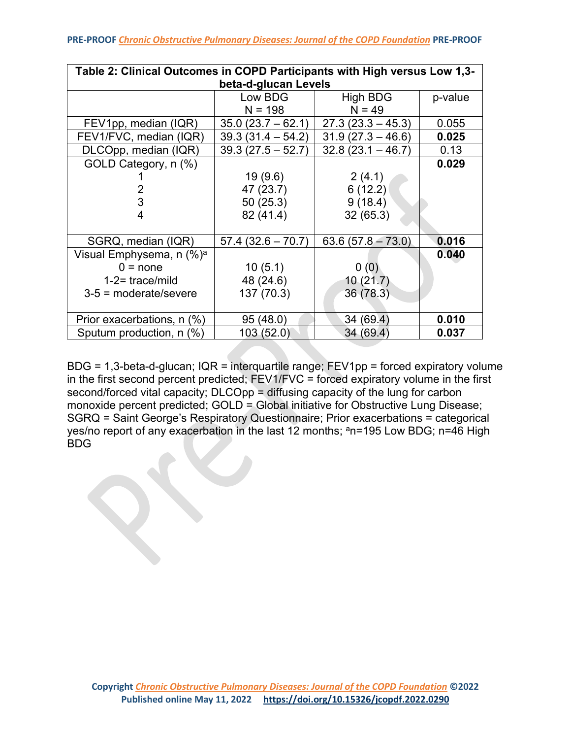| Table 2: Clinical Outcomes in COPD Participants with High versus Low 1,3- |                      |                     |         |  |
|---------------------------------------------------------------------------|----------------------|---------------------|---------|--|
|                                                                           | beta-d-glucan Levels |                     |         |  |
|                                                                           | Low BDG              | High BDG            | p-value |  |
|                                                                           | $N = 198$            | $N = 49$            |         |  |
| FEV1pp, median (IQR)                                                      | $35.0(23.7 - 62.1)$  | $27.3(23.3 - 45.3)$ | 0.055   |  |
| FEV1/FVC, median (IQR)                                                    | $39.3(31.4 - 54.2)$  | $31.9(27.3 - 46.6)$ | 0.025   |  |
| DLCOpp, median (IQR)                                                      | $39.3(27.5 - 52.7)$  | $32.8(23.1 - 46.7)$ | 0.13    |  |
| GOLD Category, n (%)                                                      |                      |                     | 0.029   |  |
|                                                                           | 19(9.6)              | 2(4.1)              |         |  |
| 2                                                                         | 47 (23.7)            | 6(12.2)             |         |  |
| 3                                                                         | 50(25.3)             | 9(18.4)             |         |  |
| 4                                                                         | 82 (41.4)            | 32(65.3)            |         |  |
|                                                                           |                      |                     |         |  |
| SGRQ, median (IQR)                                                        | $57.4(32.6 - 70.7)$  | $63.6(57.8 - 73.0)$ | 0.016   |  |
| Visual Emphysema, n (%) <sup>a</sup>                                      |                      |                     | 0.040   |  |
| $0 = none$                                                                | 10(5.1)              | 0(0)                |         |  |
| $1-2$ = trace/mild                                                        | 48 (24.6)            | 10(21.7)            |         |  |
| $3-5$ = moderate/severe                                                   | 137 (70.3)           | 36 (78.3)           |         |  |
|                                                                           |                      |                     |         |  |
| Prior exacerbations, n (%)                                                | 95 (48.0)            | 34 (69.4)           | 0.010   |  |
| Sputum production, $n$ (%)                                                | 103 (52.0)           | 34 (69.4)           | 0.037   |  |

BDG = 1,3-beta-d-glucan; IQR = interquartile range; FEV1pp = forced expiratory volume in the first second percent predicted; FEV1/FVC = forced expiratory volume in the first second/forced vital capacity; DLCOpp = diffusing capacity of the lung for carbon monoxide percent predicted; GOLD = Global initiative for Obstructive Lung Disease; SGRQ = Saint George's Respiratory Questionnaire; Prior exacerbations = categorical yes/no report of any exacerbation in the last 12 months; <sup>a</sup>n=195 Low BDG; n=46 High BDG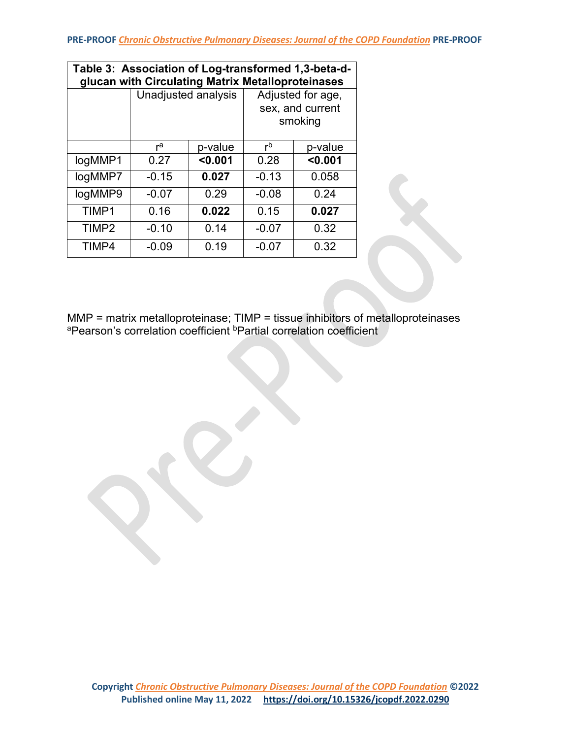| Table 3: Association of Log-transformed 1,3-beta-d-<br>glucan with Circulating Matrix Metalloproteinases |                     |         |                                                  |         |  |
|----------------------------------------------------------------------------------------------------------|---------------------|---------|--------------------------------------------------|---------|--|
|                                                                                                          | Unadjusted analysis |         | Adjusted for age,<br>sex, and current<br>smoking |         |  |
|                                                                                                          | ra                  | p-value | $r^{b}$                                          | p-value |  |
| logMMP1                                                                                                  | 0.27                | < 0.001 | 0.28                                             | < 0.001 |  |
| logMMP7                                                                                                  | $-0.15$             | 0.027   | $-0.13$                                          | 0.058   |  |
| logMMP9                                                                                                  | $-0.07$             | 0.29    | $-0.08$                                          | 0.24    |  |
| TIMP1                                                                                                    | 0.16                | 0.022   | 0.15                                             | 0.027   |  |
| TIMP <sub>2</sub>                                                                                        | $-0.10$             | 0.14    | $-0.07$                                          | 0.32    |  |
| TIMP4                                                                                                    | $-0.09$             | 0.19    | $-0.07$                                          | 0.32    |  |

MMP = matrix metalloproteinase; TIMP = tissue inhibitors of metalloproteinases <sup>a</sup>Pearson's correlation coefficient <sup>b</sup>Partial correlation coefficient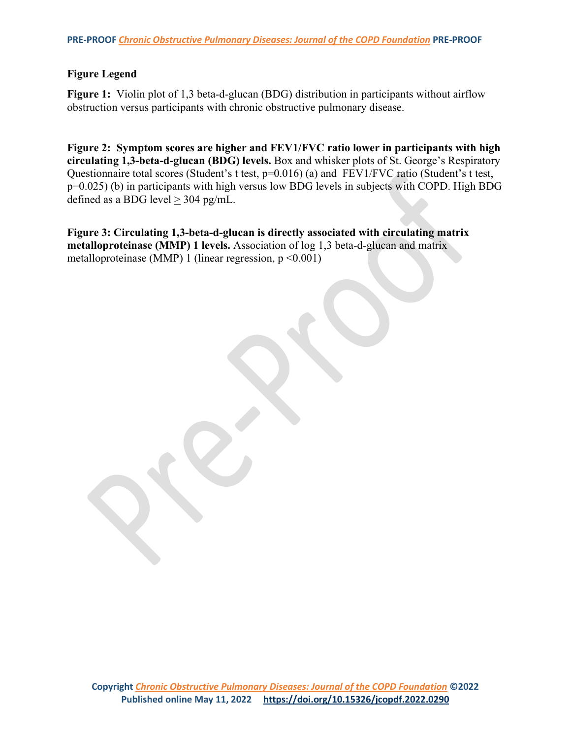## **Figure Legend**

**Figure 1:** Violin plot of 1,3 beta-d-glucan (BDG) distribution in participants without airflow obstruction versus participants with chronic obstructive pulmonary disease.

**Figure 2: Symptom scores are higher and FEV1/FVC ratio lower in participants with high circulating 1,3-beta-d-glucan (BDG) levels.** Box and whisker plots of St. George's Respiratory Questionnaire total scores (Student's t test, p=0.016) (a) and FEV1/FVC ratio (Student's t test, p=0.025) (b) in participants with high versus low BDG levels in subjects with COPD. High BDG defined as a BDG level  $\geq$  304 pg/mL.

**Figure 3: Circulating 1,3-beta-d-glucan is directly associated with circulating matrix metalloproteinase (MMP) 1 levels.** Association of log 1,3 beta-d-glucan and matrix metalloproteinase (MMP) 1 (linear regression,  $p \le 0.001$ )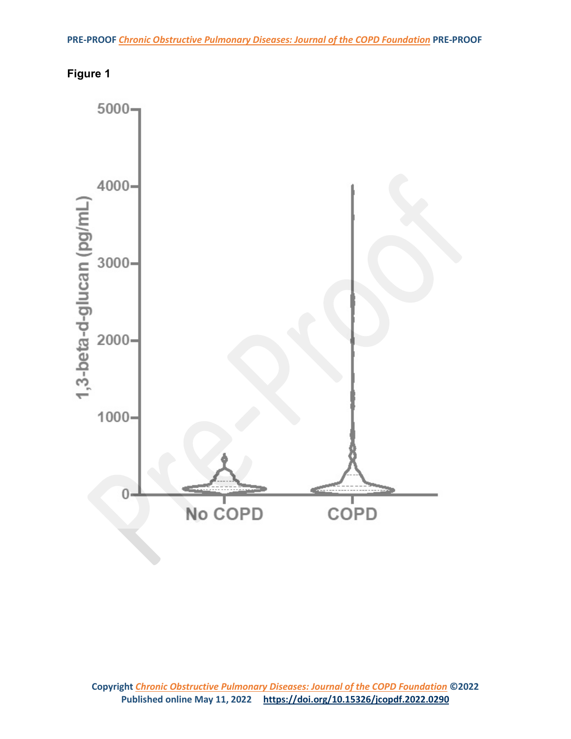

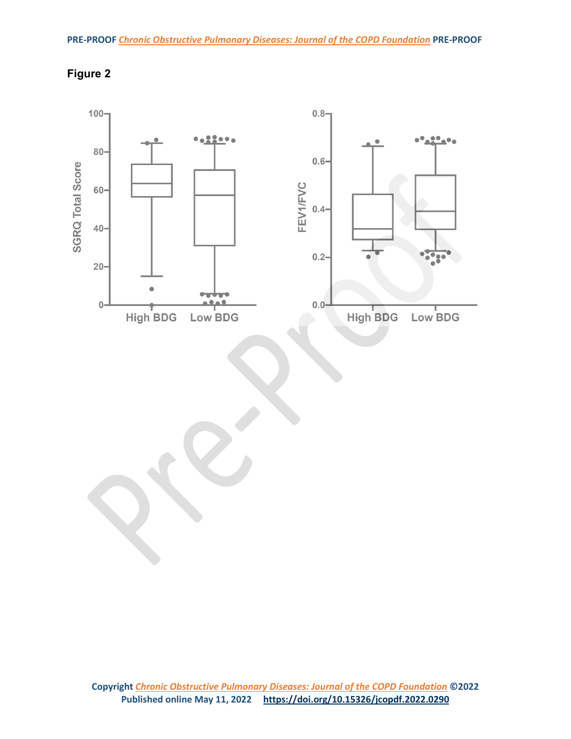

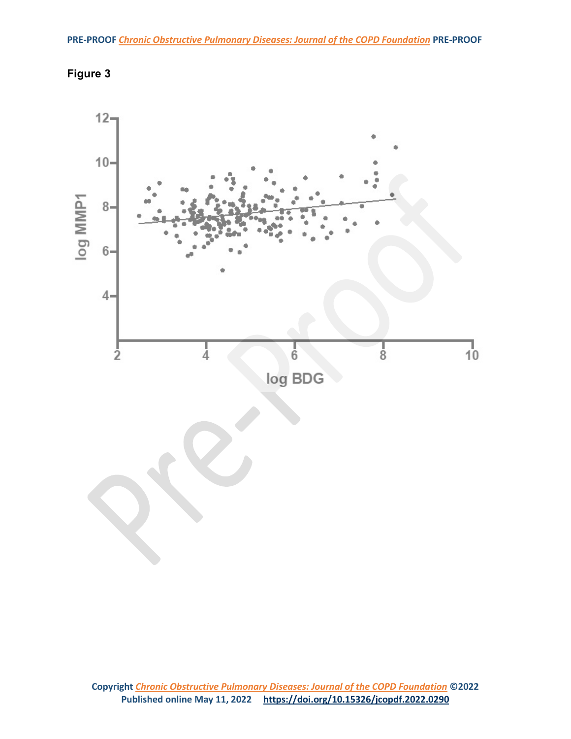

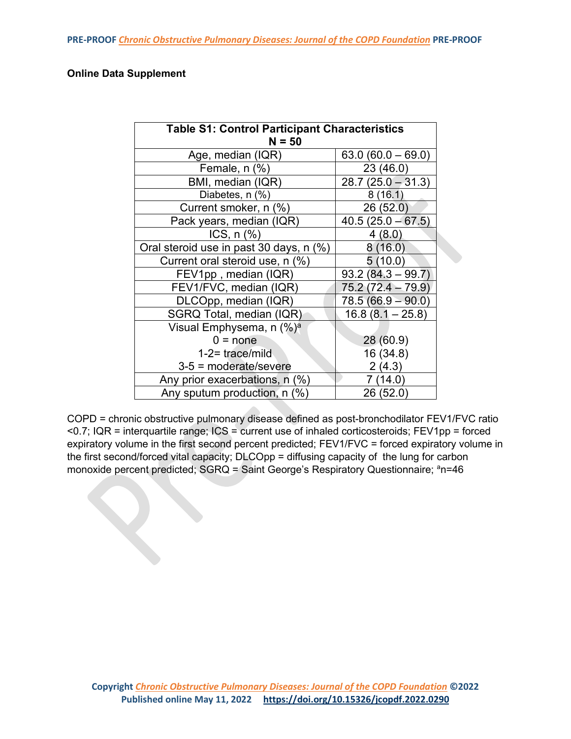## **Online Data Supplement**

| <b>Table S1: Control Participant Characteristics</b><br>$N = 50$ |                     |  |  |
|------------------------------------------------------------------|---------------------|--|--|
| Age, median (IQR)                                                | $63.0(60.0 - 69.0)$ |  |  |
| Female, $n$ $%$                                                  | 23 (46.0)           |  |  |
| BMI, median (IQR)                                                | $28.7(25.0 - 31.3)$ |  |  |
| Diabetes, n (%)                                                  | 8(16.1)             |  |  |
| Current smoker, n (%)                                            | 26(52.0)            |  |  |
| Pack years, median (IQR)                                         | $40.5(25.0 - 67.5)$ |  |  |
| ICS, $n$ $%$                                                     | 4(8.0)              |  |  |
| Oral steroid use in past 30 days, n (%)                          | 8(16.0)             |  |  |
| Current oral steroid use, n (%)                                  | 5(10.0)             |  |  |
| FEV1pp, median (IQR)                                             | $93.2(84.3 - 99.7)$ |  |  |
| FEV1/FVC, median (IQR)                                           | 75.2 (72.4 – 79.9)  |  |  |
| DLCOpp, median (IQR)                                             | $78.5(66.9 - 90.0)$ |  |  |
| SGRQ Total, median (IQR)                                         | $16.8(8.1 - 25.8)$  |  |  |
| Visual Emphysema, n (%) <sup>a</sup>                             |                     |  |  |
| $0 = none$                                                       | 28 (60.9)           |  |  |
| $1-2$ trace/mild                                                 | 16 (34.8)           |  |  |
| $3-5$ = moderate/severe                                          | 2(4.3)              |  |  |
| Any prior exacerbations, n (%)                                   | 7(14.0)             |  |  |
| Any sputum production, n (%)                                     | 26 (52.0)           |  |  |

COPD = chronic obstructive pulmonary disease defined as post-bronchodilator FEV1/FVC ratio <0.7; IQR = interquartile range; ICS = current use of inhaled corticosteroids; FEV1pp = forced expiratory volume in the first second percent predicted; FEV1/FVC = forced expiratory volume in the first second/forced vital capacity; DLCOpp = diffusing capacity of the lung for carbon monoxide percent predicted; SGRQ = Saint George's Respiratory Questionnaire; ªn=46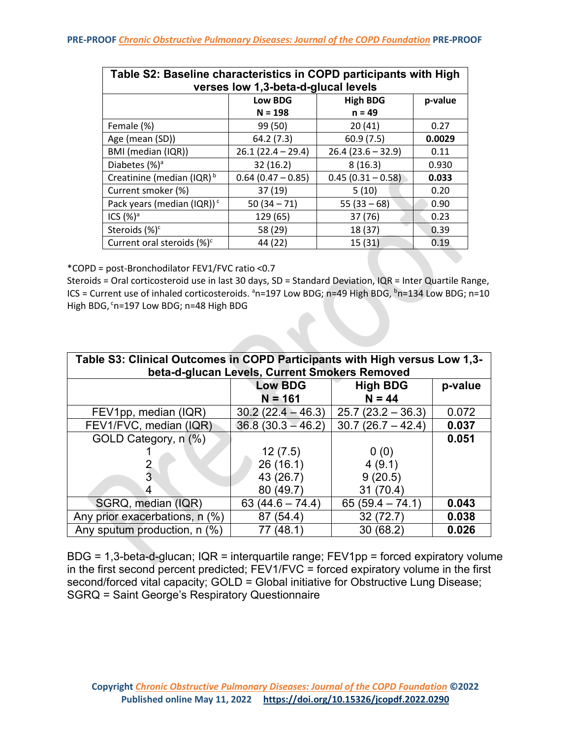| Table S2: Baseline characteristics in COPD participants with High<br>verses low 1,3-beta-d-glucal levels |                      |                     |         |
|----------------------------------------------------------------------------------------------------------|----------------------|---------------------|---------|
|                                                                                                          | <b>Low BDG</b>       | <b>High BDG</b>     | p-value |
|                                                                                                          | $N = 198$            | $n = 49$            |         |
| Female (%)                                                                                               | 99 (50)              | 20(41)              | 0.27    |
| Age (mean (SD))                                                                                          | 64.2 (7.3)           | 60.9(7.5)           | 0.0029  |
| BMI (median (IQR))                                                                                       | $26.1(22.4 - 29.4)$  | $26.4(23.6 - 32.9)$ | 0.11    |
| Diabetes $(%)^a$                                                                                         | 32(16.2)             | 8(16.3)             | 0.930   |
| Creatinine (median (IQR) <sup>b</sup>                                                                    | $0.64$ (0.47 - 0.85) | $0.45(0.31 - 0.58)$ | 0.033   |
| Current smoker (%)                                                                                       | 37 (19)              | 5(10)               | 0.20    |
| Pack years (median (IQR)) <sup>c</sup>                                                                   | $50(34 - 71)$        | $55(33-68)$         | 0.90    |
| ICS (%) <sup>a</sup>                                                                                     | 129 (65)             | 37 (76)             | 0.23    |
| Steroids (%) <sup>c</sup>                                                                                | 58 (29)              | 18 (37)             | 0.39    |
| Current oral steroids (%) <sup>c</sup>                                                                   | 44 (22)              | 15(31)              | 0.19    |

\*COPD = post-Bronchodilator FEV1/FVC ratio <0.7

Steroids = Oral corticosteroid use in last 30 days, SD = Standard Deviation, IQR = Inter Quartile Range, ICS = Current use of inhaled corticosteroids. <sup>a</sup>n=197 Low BDG; n=49 High BDG, <sup>b</sup>n=134 Low BDG; n=10 High BDG, cn=197 Low BDG; n=48 High BDG

| Table S3: Clinical Outcomes in COPD Participants with High versus Low 1,3-<br>beta-d-glucan Levels, Current Smokers Removed |                             |                             |         |
|-----------------------------------------------------------------------------------------------------------------------------|-----------------------------|-----------------------------|---------|
|                                                                                                                             | <b>Low BDG</b><br>$N = 161$ | <b>High BDG</b><br>$N = 44$ | p-value |
| FEV1pp, median (IQR)                                                                                                        | $30.2(22.4 - 46.3)$         | $25.7(23.2 - 36.3)$         | 0.072   |
| FEV1/FVC, median (IQR)                                                                                                      | $36.8(30.3 - 46.2)$         | $30.7(26.7 - 42.4)$         | 0.037   |
| GOLD Category, n (%)                                                                                                        |                             |                             | 0.051   |
|                                                                                                                             | 12(7.5)                     | 0(0)                        |         |
|                                                                                                                             | 26(16.1)                    | 4(9.1)                      |         |
| 3                                                                                                                           | 43 (26.7)                   | 9(20.5)                     |         |
| 4                                                                                                                           | 80 (49.7)                   | 31(70.4)                    |         |
| SGRQ, median (IQR)                                                                                                          | $63(44.6 - 74.4)$           | $65(59.4 - 74.1)$           | 0.043   |
| Any prior exacerbations, n (%)                                                                                              | 87 (54.4)                   | 32 (72.7)                   | 0.038   |
| Any sputum production, n (%)                                                                                                | (48.1)<br>77                | (68.2)<br>30                | 0.026   |

BDG = 1,3-beta-d-glucan; IQR = interquartile range; FEV1pp = forced expiratory volume in the first second percent predicted; FEV1/FVC = forced expiratory volume in the first second/forced vital capacity; GOLD = Global initiative for Obstructive Lung Disease; SGRQ = Saint George's Respiratory Questionnaire